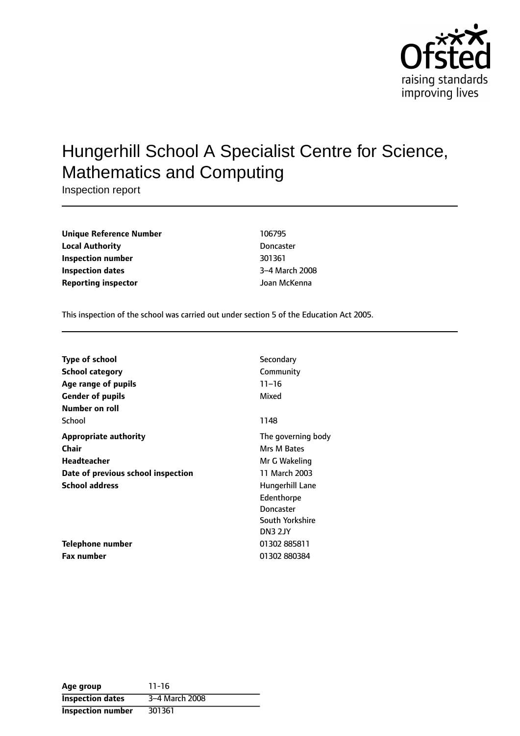

# Hungerhill School A Specialist Centre for Science, Mathematics and Computing

Inspection report

| Unique Reference Number    | 106795           |
|----------------------------|------------------|
| <b>Local Authority</b>     | <b>Doncaster</b> |
| Inspection number          | 301361           |
| Inspection dates           | 3-4 March 200    |
| <b>Reporting inspector</b> | Joan McKenna     |

**Unique Reference Number** 106795 **Doncaster Inspection number** 301361 **3-4 March 2008** 

This inspection of the school was carried out under section 5 of the Education Act 2005.

| <b>Type of school</b>              | Secondary          |
|------------------------------------|--------------------|
| <b>School category</b>             | Community          |
| Age range of pupils                | $11 - 16$          |
| <b>Gender of pupils</b>            | Mixed              |
| Number on roll                     |                    |
| School                             | 1148               |
| Appropriate authority              | The governing body |
| <b>Chair</b>                       | Mrs M Bates        |
| Headteacher                        | Mr G Wakeling      |
| Date of previous school inspection | 11 March 2003      |
| <b>School address</b>              | Hungerhill Lane    |
|                                    | Edenthorpe         |
|                                    | Doncaster          |
|                                    | South Yorkshire    |
|                                    | DN3 2JY            |
| Telephone number                   | 01302885811        |
| <b>Fax number</b>                  | 01302 880384       |

| Age group                | $11 - 16$      |
|--------------------------|----------------|
| <b>Inspection dates</b>  | 3-4 March 2008 |
| <b>Inspection number</b> | 301361         |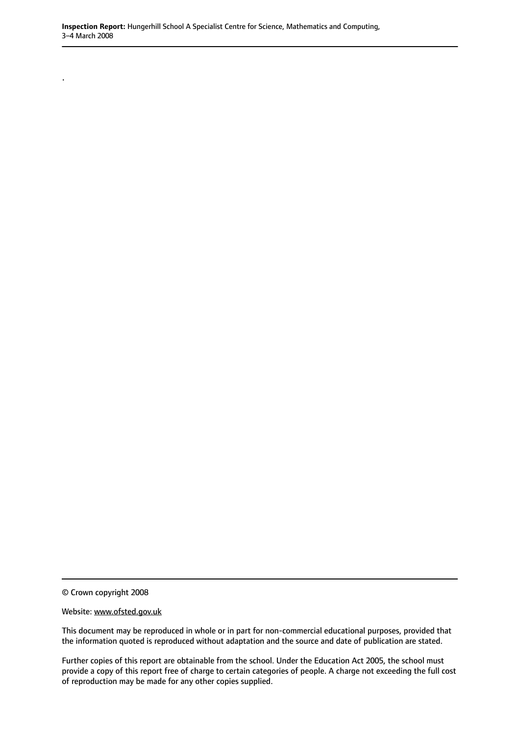© Crown copyright 2008

.

Website: www.ofsted.gov.uk

This document may be reproduced in whole or in part for non-commercial educational purposes, provided that the information quoted is reproduced without adaptation and the source and date of publication are stated.

Further copies of this report are obtainable from the school. Under the Education Act 2005, the school must provide a copy of this report free of charge to certain categories of people. A charge not exceeding the full cost of reproduction may be made for any other copies supplied.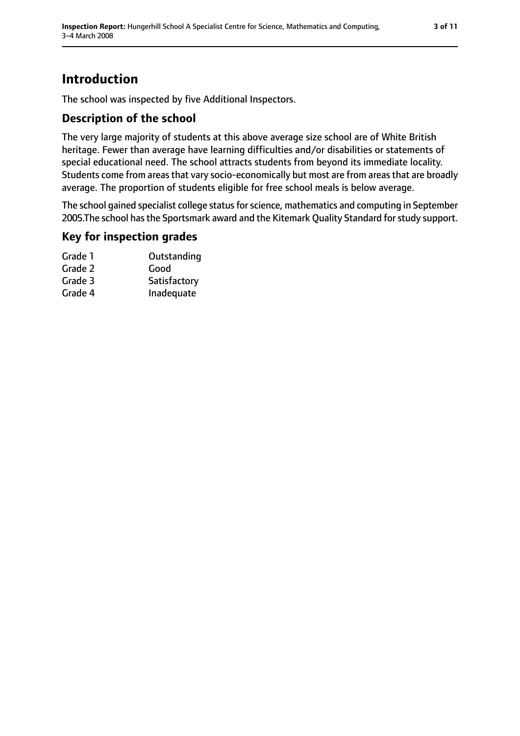# **Introduction**

The school was inspected by five Additional Inspectors.

### **Description of the school**

The very large majority of students at this above average size school are of White British heritage. Fewer than average have learning difficulties and/or disabilities or statements of special educational need. The school attracts students from beyond its immediate locality. Students come from areas that vary socio-economically but most are from areas that are broadly average. The proportion of students eligible for free school meals is below average.

The school gained specialist college status for science, mathematics and computing in September 2005.The school has the Sportsmark award and the Kitemark Quality Standard for study support.

### **Key for inspection grades**

| Grade 1 | Outstanding  |
|---------|--------------|
| Grade 2 | Good         |
| Grade 3 | Satisfactory |
| Grade 4 | Inadequate   |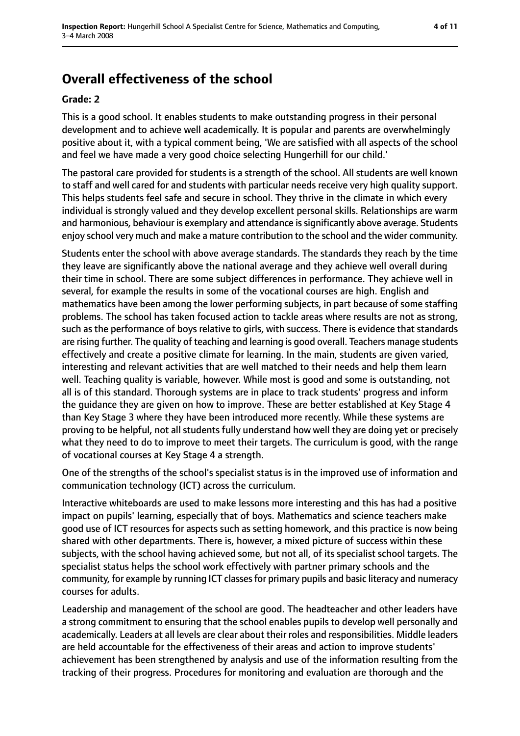# **Overall effectiveness of the school**

#### **Grade: 2**

This is a good school. It enables students to make outstanding progress in their personal development and to achieve well academically. It is popular and parents are overwhelmingly positive about it, with a typical comment being, 'We are satisfied with all aspects of the school and feel we have made a very good choice selecting Hungerhill for our child.'

The pastoral care provided for students is a strength of the school. All students are well known to staff and well cared for and students with particular needs receive very high quality support. This helps students feel safe and secure in school. They thrive in the climate in which every individual is strongly valued and they develop excellent personal skills. Relationships are warm and harmonious, behaviour is exemplary and attendance is significantly above average. Students enjoy school very much and make a mature contribution to the school and the wider community.

Students enter the school with above average standards. The standards they reach by the time they leave are significantly above the national average and they achieve well overall during their time in school. There are some subject differences in performance. They achieve well in several, for example the results in some of the vocational courses are high. English and mathematics have been among the lower performing subjects, in part because of some staffing problems. The school has taken focused action to tackle areas where results are not as strong, such as the performance of boys relative to girls, with success. There is evidence that standards are rising further. The quality of teaching and learning is good overall. Teachers manage students effectively and create a positive climate for learning. In the main, students are given varied, interesting and relevant activities that are well matched to their needs and help them learn well. Teaching quality is variable, however. While most is good and some is outstanding, not all is of this standard. Thorough systems are in place to track students' progress and inform the guidance they are given on how to improve. These are better established at Key Stage 4 than Key Stage 3 where they have been introduced more recently. While these systems are proving to be helpful, not all students fully understand how well they are doing yet or precisely what they need to do to improve to meet their targets. The curriculum is good, with the range of vocational courses at Key Stage 4 a strength.

One of the strengths of the school's specialist status is in the improved use of information and communication technology (ICT) across the curriculum.

Interactive whiteboards are used to make lessons more interesting and this has had a positive impact on pupils' learning, especially that of boys. Mathematics and science teachers make good use of ICT resources for aspects such as setting homework, and this practice is now being shared with other departments. There is, however, a mixed picture of success within these subjects, with the school having achieved some, but not all, of its specialist school targets. The specialist status helps the school work effectively with partner primary schools and the community, for example by running ICT classes for primary pupils and basic literacy and numeracy courses for adults.

Leadership and management of the school are good. The headteacher and other leaders have a strong commitment to ensuring that the school enables pupils to develop well personally and academically. Leaders at all levels are clear about their roles and responsibilities. Middle leaders are held accountable for the effectiveness of their areas and action to improve students' achievement has been strengthened by analysis and use of the information resulting from the tracking of their progress. Procedures for monitoring and evaluation are thorough and the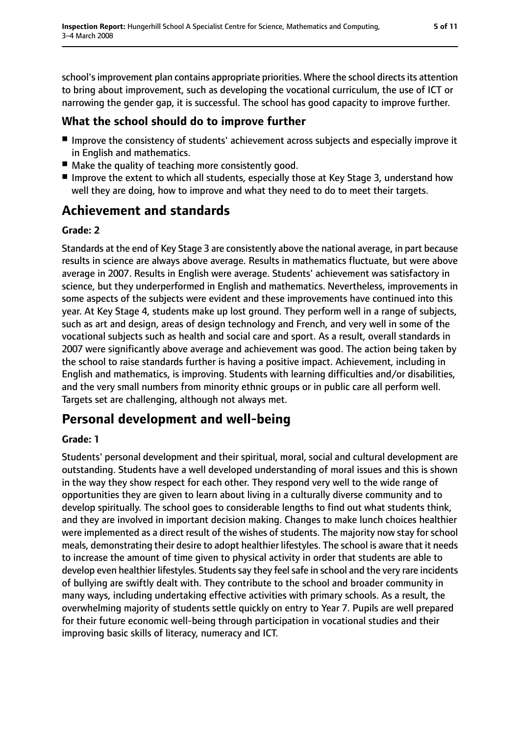school's improvement plan contains appropriate priorities. Where the school directs its attention to bring about improvement, such as developing the vocational curriculum, the use of ICT or narrowing the gender gap, it is successful. The school has good capacity to improve further.

# **What the school should do to improve further**

- Improve the consistency of students' achievement across subjects and especially improve it in English and mathematics.
- Make the quality of teaching more consistently good.
- Improve the extent to which all students, especially those at Key Stage 3, understand how well they are doing, how to improve and what they need to do to meet their targets.

# **Achievement and standards**

### **Grade: 2**

Standards at the end of Key Stage 3 are consistently above the national average, in part because results in science are always above average. Results in mathematics fluctuate, but were above average in 2007. Results in English were average. Students' achievement was satisfactory in science, but they underperformed in English and mathematics. Nevertheless, improvements in some aspects of the subjects were evident and these improvements have continued into this year. At Key Stage 4, students make up lost ground. They perform well in a range of subjects, such as art and design, areas of design technology and French, and very well in some of the vocational subjects such as health and social care and sport. As a result, overall standards in 2007 were significantly above average and achievement was good. The action being taken by the school to raise standards further is having a positive impact. Achievement, including in English and mathematics, is improving. Students with learning difficulties and/or disabilities, and the very small numbers from minority ethnic groups or in public care all perform well. Targets set are challenging, although not always met.

# **Personal development and well-being**

### **Grade: 1**

Students' personal development and their spiritual, moral, social and cultural development are outstanding. Students have a well developed understanding of moral issues and this is shown in the way they show respect for each other. They respond very well to the wide range of opportunities they are given to learn about living in a culturally diverse community and to develop spiritually. The school goes to considerable lengths to find out what students think, and they are involved in important decision making. Changes to make lunch choices healthier were implemented as a direct result of the wishes of students. The majority now stay for school meals, demonstrating their desire to adopt healthier lifestyles. The school is aware that it needs to increase the amount of time given to physical activity in order that students are able to develop even healthier lifestyles. Students say they feel safe in school and the very rare incidents of bullying are swiftly dealt with. They contribute to the school and broader community in many ways, including undertaking effective activities with primary schools. As a result, the overwhelming majority of students settle quickly on entry to Year 7. Pupils are well prepared for their future economic well-being through participation in vocational studies and their improving basic skills of literacy, numeracy and ICT.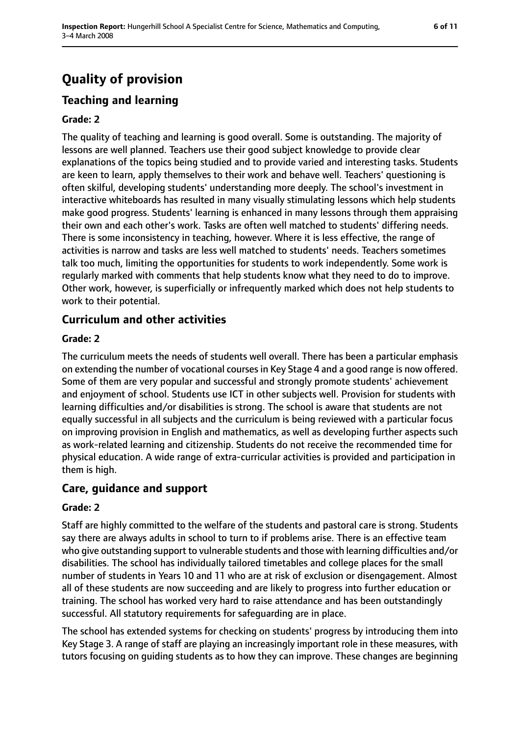# **Quality of provision**

# **Teaching and learning**

#### **Grade: 2**

The quality of teaching and learning is good overall. Some is outstanding. The majority of lessons are well planned. Teachers use their good subject knowledge to provide clear explanations of the topics being studied and to provide varied and interesting tasks. Students are keen to learn, apply themselves to their work and behave well. Teachers' questioning is often skilful, developing students' understanding more deeply. The school's investment in interactive whiteboards has resulted in many visually stimulating lessons which help students make good progress. Students' learning is enhanced in many lessons through them appraising their own and each other's work. Tasks are often well matched to students' differing needs. There is some inconsistency in teaching, however. Where it is less effective, the range of activities is narrow and tasks are less well matched to students' needs. Teachers sometimes talk too much, limiting the opportunities for students to work independently. Some work is regularly marked with comments that help students know what they need to do to improve. Other work, however, is superficially or infrequently marked which does not help students to work to their potential.

### **Curriculum and other activities**

#### **Grade: 2**

The curriculum meets the needs of students well overall. There has been a particular emphasis on extending the number of vocational courses in Key Stage 4 and a good range is now offered. Some of them are very popular and successful and strongly promote students' achievement and enjoyment of school. Students use ICT in other subjects well. Provision for students with learning difficulties and/or disabilities is strong. The school is aware that students are not equally successful in all subjects and the curriculum is being reviewed with a particular focus on improving provision in English and mathematics, as well as developing further aspects such as work-related learning and citizenship. Students do not receive the recommended time for physical education. A wide range of extra-curricular activities is provided and participation in them is high.

#### **Care, guidance and support**

#### **Grade: 2**

Staff are highly committed to the welfare of the students and pastoral care is strong. Students say there are always adults in school to turn to if problems arise. There is an effective team who give outstanding support to vulnerable students and those with learning difficulties and/or disabilities. The school has individually tailored timetables and college places for the small number of students in Years 10 and 11 who are at risk of exclusion or disengagement. Almost all of these students are now succeeding and are likely to progress into further education or training. The school has worked very hard to raise attendance and has been outstandingly successful. All statutory requirements for safeguarding are in place.

The school has extended systems for checking on students' progress by introducing them into Key Stage 3. A range of staff are playing an increasingly important role in these measures, with tutors focusing on guiding students as to how they can improve. These changes are beginning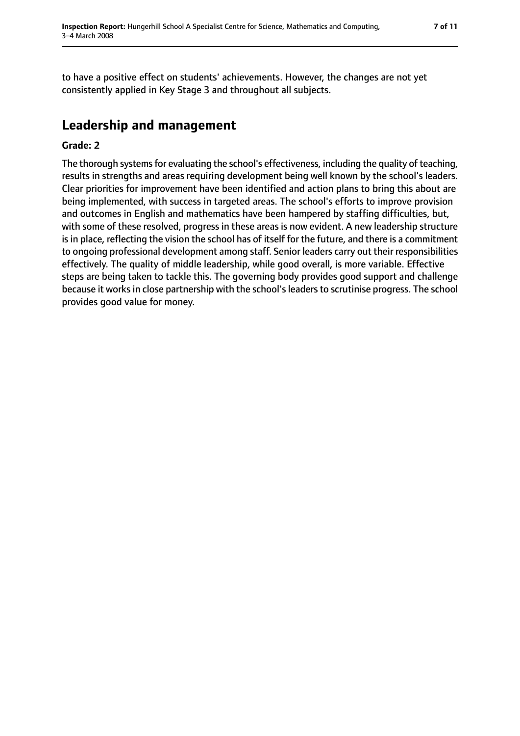to have a positive effect on students' achievements. However, the changes are not yet consistently applied in Key Stage 3 and throughout all subjects.

# **Leadership and management**

#### **Grade: 2**

The thorough systems for evaluating the school's effectiveness, including the quality of teaching, results in strengths and areas requiring development being well known by the school's leaders. Clear priorities for improvement have been identified and action plans to bring this about are being implemented, with success in targeted areas. The school's efforts to improve provision and outcomes in English and mathematics have been hampered by staffing difficulties, but, with some of these resolved, progress in these areas is now evident. A new leadership structure is in place, reflecting the vision the school has of itself for the future, and there is a commitment to ongoing professional development among staff. Senior leaders carry out their responsibilities effectively. The quality of middle leadership, while good overall, is more variable. Effective steps are being taken to tackle this. The governing body provides good support and challenge because it works in close partnership with the school's leaders to scrutinise progress. The school provides good value for money.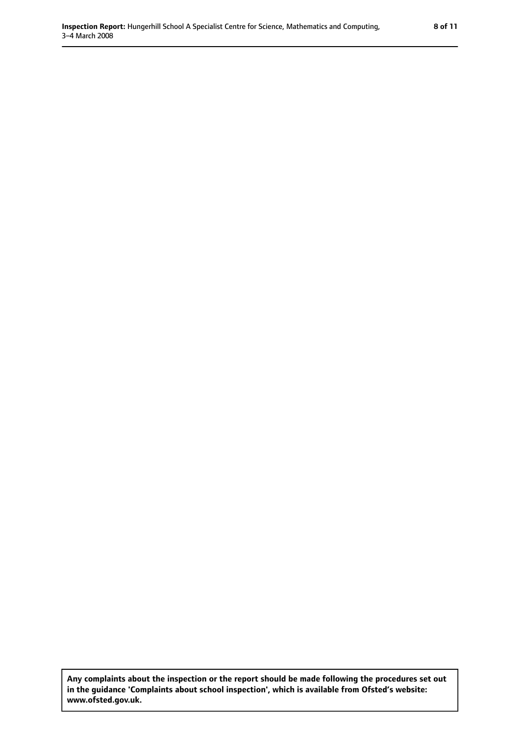**Any complaints about the inspection or the report should be made following the procedures set out in the guidance 'Complaints about school inspection', which is available from Ofsted's website: www.ofsted.gov.uk.**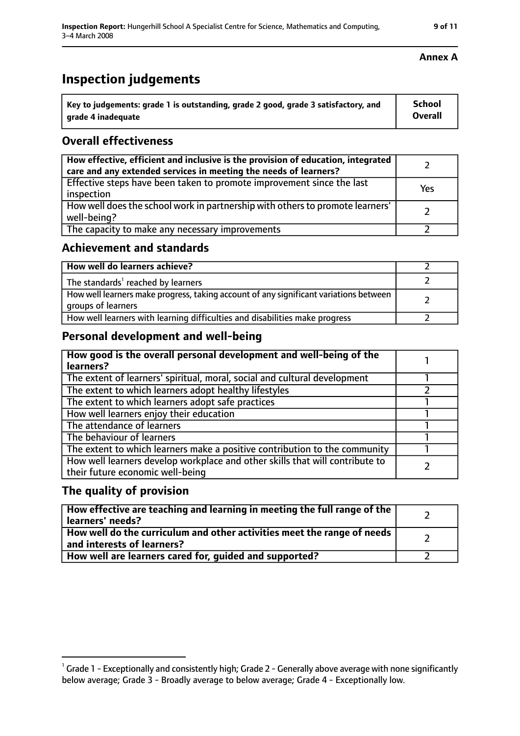# **Inspection judgements**

| $^{\backprime}$ Key to judgements: grade 1 is outstanding, grade 2 good, grade 3 satisfactory, and | School  |
|----------------------------------------------------------------------------------------------------|---------|
| arade 4 inadequate                                                                                 | Overall |

### **Overall effectiveness**

| How effective, efficient and inclusive is the provision of education, integrated<br>care and any extended services in meeting the needs of learners? |     |
|------------------------------------------------------------------------------------------------------------------------------------------------------|-----|
| Effective steps have been taken to promote improvement since the last<br>inspection                                                                  | Yes |
| How well does the school work in partnership with others to promote learners'<br>well-being?                                                         |     |
| The capacity to make any necessary improvements                                                                                                      |     |

### **Achievement and standards**

| How well do learners achieve?                                                                               |  |
|-------------------------------------------------------------------------------------------------------------|--|
| The standards <sup>1</sup> reached by learners                                                              |  |
| How well learners make progress, taking account of any significant variations between<br>groups of learners |  |
| How well learners with learning difficulties and disabilities make progress                                 |  |

### **Personal development and well-being**

| How good is the overall personal development and well-being of the<br>learners?                                  |  |
|------------------------------------------------------------------------------------------------------------------|--|
| The extent of learners' spiritual, moral, social and cultural development                                        |  |
| The extent to which learners adopt healthy lifestyles                                                            |  |
| The extent to which learners adopt safe practices                                                                |  |
| How well learners enjoy their education                                                                          |  |
| The attendance of learners                                                                                       |  |
| The behaviour of learners                                                                                        |  |
| The extent to which learners make a positive contribution to the community                                       |  |
| How well learners develop workplace and other skills that will contribute to<br>their future economic well-being |  |

### **The quality of provision**

| How effective are teaching and learning in meeting the full range of the<br>learners' needs?                     |  |
|------------------------------------------------------------------------------------------------------------------|--|
| How well do the curriculum and other activities meet the range of needs<br>$^{\rm t}$ and interests of learners? |  |
| How well are learners cared for, guided and supported?                                                           |  |

#### **Annex A**

 $^1$  Grade 1 - Exceptionally and consistently high; Grade 2 - Generally above average with none significantly below average; Grade 3 - Broadly average to below average; Grade 4 - Exceptionally low.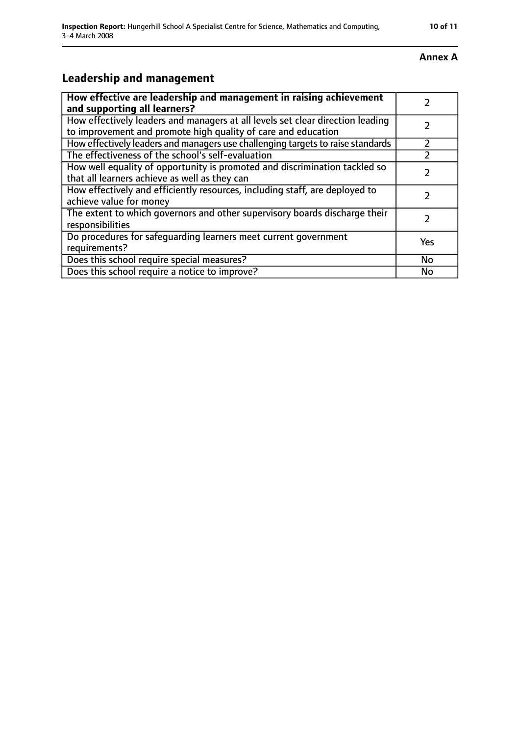#### **Annex A**

# **Leadership and management**

| How effective are leadership and management in raising achievement                                                                              |           |
|-------------------------------------------------------------------------------------------------------------------------------------------------|-----------|
| and supporting all learners?                                                                                                                    |           |
| How effectively leaders and managers at all levels set clear direction leading<br>to improvement and promote high quality of care and education |           |
| How effectively leaders and managers use challenging targets to raise standards                                                                 | フ         |
| The effectiveness of the school's self-evaluation                                                                                               |           |
| How well equality of opportunity is promoted and discrimination tackled so<br>that all learners achieve as well as they can                     |           |
| How effectively and efficiently resources, including staff, are deployed to<br>achieve value for money                                          |           |
| The extent to which governors and other supervisory boards discharge their<br>responsibilities                                                  | 7         |
| Do procedures for safequarding learners meet current government<br>requirements?                                                                | Yes       |
| Does this school require special measures?                                                                                                      | <b>No</b> |
| Does this school require a notice to improve?                                                                                                   | No        |